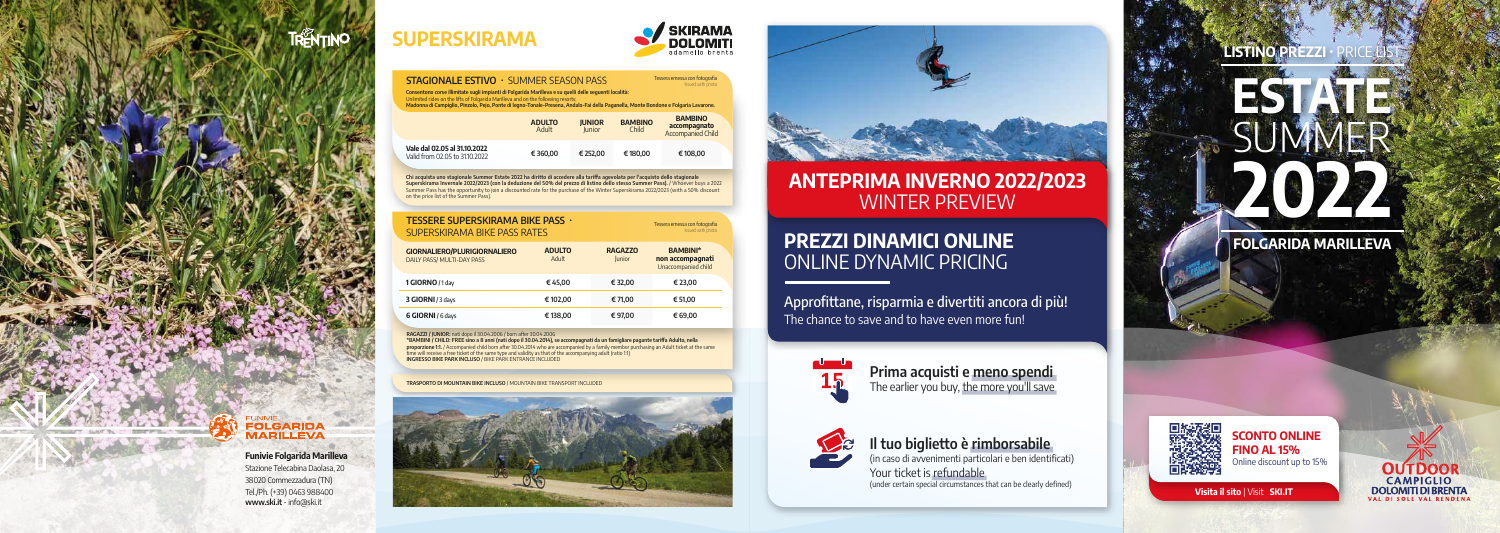# **SUPERSKIRAMA**



#### **STAGIONALE ESTIVO** • SUMMER SEASON PASS

**SCONTO ONLINE FINO AL 15%** Online discount up to 15%

## **PREZZI DINAMICI ONLINE** ONLINE DYNAMIC PRICING

Approfittane, risparmia e divertiti ancora di più! The chance to save and to have even more fun!



## **Il tuo biglietto è rimborsabile**

(in caso di avvenimenti particolari e ben identificati) Your ticket is refundable (under certain special circumstances that can be clearly defined)

## **LISTINO PREZZI**

**Prima acquisti e meno spendi** The earlier you buy, the more you'll save





**Visita il sito** | Visit **SKI.IT**



## **ANTEPRIMA INVERNO 2022/2023** WINTER PREVIEW



**FOLGARIDA MARILLEVA**



**Consentono corse illimitate sugli impianti di Folgarida Marilleva e su quelli delle seguenti località:**

Unlimited rides on the lifts of Folgarida Marilleva and on the following resorts:<br>**Madonna di Campiglio, Pinzolo, Pejo, Ponte di legno-Tonale-Presena, Andalo-Fai della Paganella, Monte Bondone e Folgaria Lavarone.** 

|                                                                | <b>ADULTO</b><br>Adult | <b>JUNIOR</b><br><b>Junior</b> | <b>BAMBINO</b><br>Child | <b>BAMBINO</b><br>accompagnato<br><b>Accompanied Child</b> |
|----------------------------------------------------------------|------------------------|--------------------------------|-------------------------|------------------------------------------------------------|
| Vale dal 02.05 al 31.10.2022<br>Valid from 02.05 to 31.10.2022 | €360,00                | € 252,00                       | €180,00                 | €108,00                                                    |

Chi acquista uno stagionale Summer Estate 2022 ha diritto di accedere alla tariffa agevolata per l'acquisto dello stagionale<br>Superskirama Invernale 2022/2023 (con la deduzione del 50% del prezzo di listino dello stesso Sum

| <b>TESSERE SUPERSKIRAMA BIKE PASS ·</b><br><b>SUPERSKIRAMA BIKE PASS RATES</b> |                        | Tessera emessa con fotografia<br>Issued with photo |                                                            |
|--------------------------------------------------------------------------------|------------------------|----------------------------------------------------|------------------------------------------------------------|
| <b>GIORNALIERO/PLURIGIORNALIERO</b><br>DAILY PASS/ MULTI-DAY PASS              | <b>ADULTO</b><br>Adult | <b>RAGAZZO</b><br>Junior                           | <b>BAMBINI*</b><br>non accompagnati<br>Unaccompanied child |
| 1 GIORNO / 1 day                                                               | € 45,00                | € 32,00                                            | € 23,00                                                    |
| 3 GIORNI / 3 days                                                              | €102,00                | € 71,00                                            | € 51,00                                                    |
| 6 GIORNI / 6 days                                                              | €138,00                | €97,00                                             | € 69,00                                                    |

**RAGAZZI / JUNIOR:** nati dopo il 30.04.2006 / born after 30.04.2006

**\*BAMBINI / CHILD: FREE sino a 8 anni (nati dopo il 30.04.2014), se accompagnati da un famigliare pagante tariffa Adulto, nella proporzione 1:1.** / Accompanied child born after 30.04.2014 who are accompanied by a family member purchasing an Adult ticket at the same time will receive a free ticket of the same type and validity as that of the accompanying adult (ratio 1:1) **INGRESSO BIKE PARK INCLUSO** / BIKE PARK ENTRANCE INCLUDED

**TRASPORTO DI MOUNTAIN BIKE INCLUSO** / MOUNTAIN BIKE TRANSPORT INCLUDED